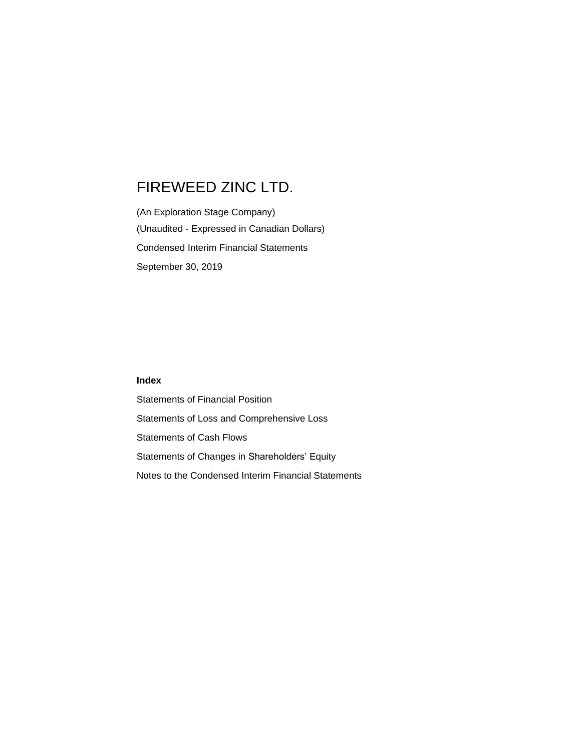(An Exploration Stage Company) (Unaudited - Expressed in Canadian Dollars) Condensed Interim Financial Statements September 30, 2019

## **Index**

Statements of Financial Position Statements of Loss and Comprehensive Loss Statements of Cash Flows Statements of Changes in Shareholders' Equity Notes to the Condensed Interim Financial Statements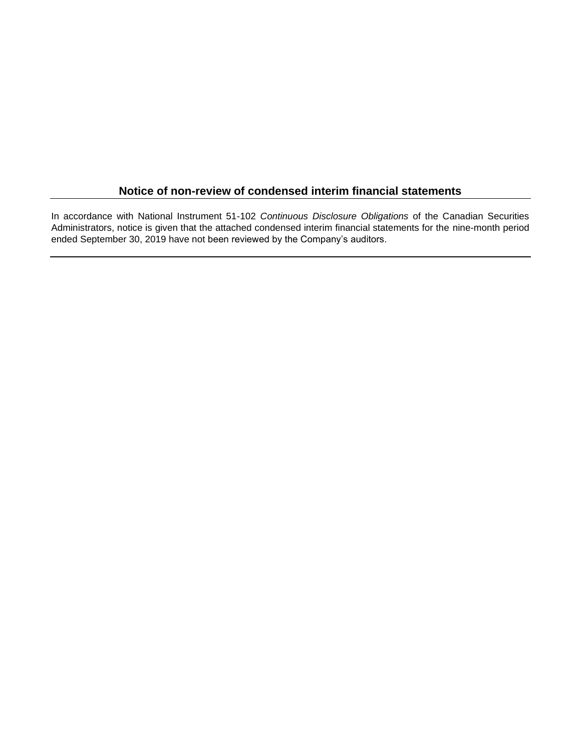## **Notice of non-review of condensed interim financial statements**

In accordance with National Instrument 51-102 *Continuous Disclosure Obligations* of the Canadian Securities Administrators, notice is given that the attached condensed interim financial statements for the nine-month period ended September 30, 2019 have not been reviewed by the Company's auditors.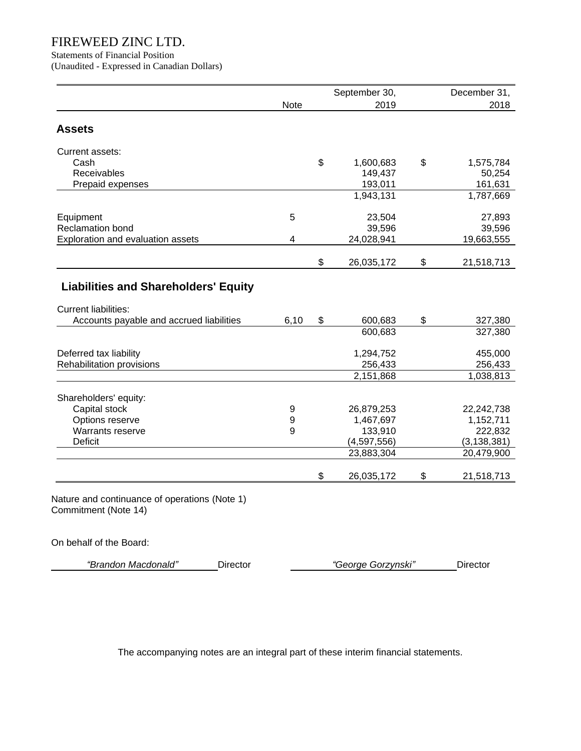Statements of Financial Position

(Unaudited - Expressed in Canadian Dollars)

| 2019<br>1,600,683<br>149,437<br>193,011<br>1,943,131<br>23,504<br>39,596<br>24,028,941<br>26,035,172 | \$<br>\$                                                                      | 2018<br>1,575,784<br>50,254<br>161,631<br>1,787,669<br>27,893<br>39,596<br>19,663,555<br>21,518,713 |
|------------------------------------------------------------------------------------------------------|-------------------------------------------------------------------------------|-----------------------------------------------------------------------------------------------------|
|                                                                                                      |                                                                               |                                                                                                     |
|                                                                                                      |                                                                               |                                                                                                     |
|                                                                                                      |                                                                               |                                                                                                     |
|                                                                                                      |                                                                               |                                                                                                     |
|                                                                                                      |                                                                               |                                                                                                     |
|                                                                                                      |                                                                               |                                                                                                     |
|                                                                                                      |                                                                               |                                                                                                     |
|                                                                                                      |                                                                               |                                                                                                     |
|                                                                                                      |                                                                               |                                                                                                     |
|                                                                                                      |                                                                               |                                                                                                     |
|                                                                                                      |                                                                               |                                                                                                     |
|                                                                                                      |                                                                               |                                                                                                     |
|                                                                                                      |                                                                               |                                                                                                     |
| 600,683                                                                                              | \$                                                                            | 327,380                                                                                             |
| 600,683                                                                                              |                                                                               | 327,380                                                                                             |
| 1,294,752                                                                                            |                                                                               | 455,000                                                                                             |
| 256,433                                                                                              |                                                                               | 256,433                                                                                             |
| 2,151,868                                                                                            |                                                                               | 1,038,813                                                                                           |
|                                                                                                      |                                                                               |                                                                                                     |
|                                                                                                      |                                                                               | 22,242,738                                                                                          |
|                                                                                                      |                                                                               | 1,152,711                                                                                           |
|                                                                                                      |                                                                               | 222,832                                                                                             |
|                                                                                                      |                                                                               | (3, 138, 381)                                                                                       |
|                                                                                                      |                                                                               | 20,479,900                                                                                          |
|                                                                                                      | \$                                                                            | 21,518,713                                                                                          |
|                                                                                                      | 26,879,253<br>1,467,697<br>133,910<br>(4,597,556)<br>23,883,304<br>26,035,172 |                                                                                                     |

On behalf of the Board:

 $\sim$ 

| "Brandon Macdonald" | Director | George Gorzynski" | ⊃ırector |
|---------------------|----------|-------------------|----------|
|---------------------|----------|-------------------|----------|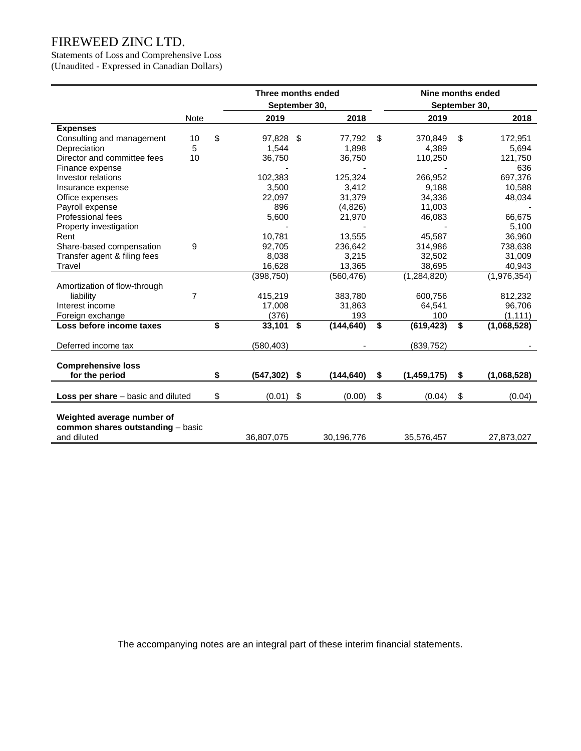Statements of Loss and Comprehensive Loss (Unaudited - Expressed in Canadian Dollars)

|                                             |      | Three months ended |      |            |    | Nine months ended |                   |
|---------------------------------------------|------|--------------------|------|------------|----|-------------------|-------------------|
|                                             |      | September 30,      |      |            |    | September 30,     |                   |
|                                             | Note | 2019               |      | 2018       |    | 2019              | 2018              |
| <b>Expenses</b>                             |      |                    |      |            |    |                   |                   |
| Consulting and management                   | 10   | \$<br>97,828 \$    |      | 77,792     | \$ | 370,849           | \$<br>172,951     |
| Depreciation                                | 5    | 1,544              |      | 1,898      |    | 4,389             | 5,694             |
| Director and committee fees                 | 10   | 36,750             |      | 36,750     |    | 110,250           | 121,750           |
| Finance expense                             |      |                    |      |            |    |                   | 636               |
| Investor relations                          |      | 102,383            |      | 125,324    |    | 266,952           | 697,376           |
| Insurance expense                           |      | 3,500              |      | 3,412      |    | 9,188             | 10,588            |
| Office expenses                             |      | 22,097             |      | 31,379     |    | 34,336            | 48,034            |
| Payroll expense                             |      | 896                |      | (4,826)    |    | 11,003            |                   |
| Professional fees                           |      | 5,600              |      | 21,970     |    | 46,083            | 66,675            |
| Property investigation                      |      |                    |      |            |    |                   | 5,100             |
| Rent                                        |      | 10,781             |      | 13,555     |    | 45,587            | 36,960            |
| Share-based compensation                    | 9    | 92,705             |      | 236,642    |    | 314,986           | 738,638           |
| Transfer agent & filing fees                |      | 8,038              |      | 3,215      |    | 32,502            | 31,009            |
| Travel                                      |      | 16,628             |      | 13,365     |    | 38,695            | 40.943            |
|                                             |      | (398, 750)         |      | (560, 476) |    | (1, 284, 820)     | (1,976,354)       |
| Amortization of flow-through                |      |                    |      |            |    |                   |                   |
| liability                                   | 7    | 415,219            |      | 383,780    |    | 600,756           | 812,232           |
| Interest income                             |      | 17,008             |      | 31,863     |    | 64,541            | 96,706            |
| Foreign exchange                            |      | (376)              |      | 193        |    | 100               | (1, 111)          |
| Loss before income taxes                    |      | \$<br>33,101       | - \$ | (144, 640) | \$ | (619, 423)        | \$<br>(1,068,528) |
| Deferred income tax                         |      | (580, 403)         |      |            |    | (839, 752)        |                   |
|                                             |      |                    |      |            |    |                   |                   |
| <b>Comprehensive loss</b><br>for the period |      | \$<br>(547, 302)   | - \$ | (144,640)  | \$ | (1, 459, 175)     | \$<br>(1,068,528) |
|                                             |      |                    |      |            |    |                   |                   |
| <b>Loss per share</b> – basic and diluted   |      | \$<br>(0.01)       | \$   | (0.00)     | \$ | (0.04)            | \$<br>(0.04)      |
|                                             |      |                    |      |            |    |                   |                   |
| Weighted average number of                  |      |                    |      |            |    |                   |                   |
| common shares outstanding - basic           |      |                    |      |            |    |                   |                   |
| and diluted                                 |      | 36,807,075         |      | 30,196,776 |    | 35,576,457        | 27,873,027        |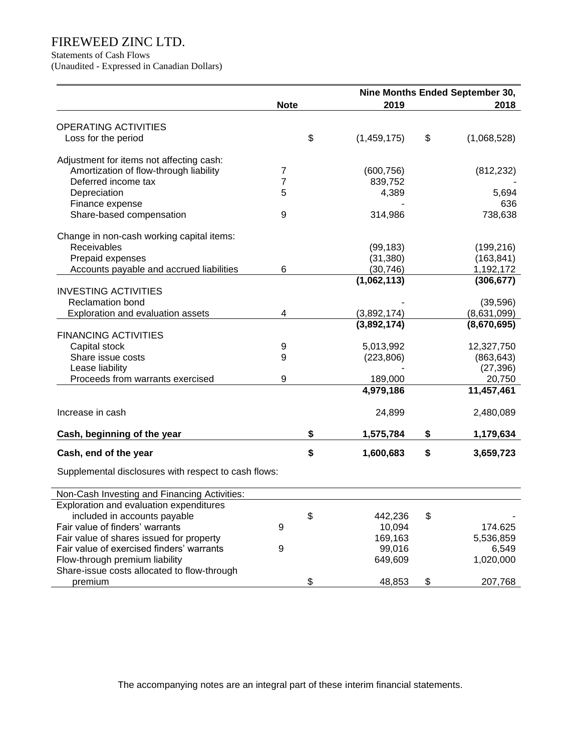Statements of Cash Flows

(Unaudited - Expressed in Canadian Dollars)

|                                                      |             | Nine Months Ended September 30, |    |             |  |  |  |
|------------------------------------------------------|-------------|---------------------------------|----|-------------|--|--|--|
|                                                      | <b>Note</b> | 2019                            |    | 2018        |  |  |  |
| OPERATING ACTIVITIES                                 |             |                                 |    |             |  |  |  |
| Loss for the period                                  |             | \$<br>(1,459,175)               | \$ | (1,068,528) |  |  |  |
| Adjustment for items not affecting cash:             |             |                                 |    |             |  |  |  |
| Amortization of flow-through liability               | 7           | (600, 756)                      |    | (812, 232)  |  |  |  |
| Deferred income tax                                  | 7           | 839,752                         |    |             |  |  |  |
| Depreciation                                         | 5           | 4,389                           |    | 5,694       |  |  |  |
| Finance expense                                      |             |                                 |    | 636         |  |  |  |
| Share-based compensation                             | 9           | 314,986                         |    | 738,638     |  |  |  |
| Change in non-cash working capital items:            |             |                                 |    |             |  |  |  |
| Receivables                                          |             | (99, 183)                       |    | (199, 216)  |  |  |  |
| Prepaid expenses                                     |             | (31, 380)                       |    | (163, 841)  |  |  |  |
| Accounts payable and accrued liabilities             | 6           | (30, 746)                       |    | 1,192,172   |  |  |  |
|                                                      |             | (1,062,113)                     |    | (306, 677)  |  |  |  |
| <b>INVESTING ACTIVITIES</b>                          |             |                                 |    |             |  |  |  |
| <b>Reclamation bond</b>                              |             |                                 |    | (39, 596)   |  |  |  |
| Exploration and evaluation assets                    | 4           | (3,892,174)                     |    | (8,631,099) |  |  |  |
|                                                      |             | (3,892,174)                     |    | (8,670,695) |  |  |  |
| <b>FINANCING ACTIVITIES</b>                          |             |                                 |    |             |  |  |  |
| Capital stock                                        | 9           | 5,013,992                       |    | 12,327,750  |  |  |  |
| Share issue costs                                    | 9           | (223, 806)                      |    | (863, 643)  |  |  |  |
| Lease liability                                      |             |                                 |    | (27, 396)   |  |  |  |
| Proceeds from warrants exercised                     | 9           | 189,000                         |    | 20,750      |  |  |  |
|                                                      |             | 4,979,186                       |    | 11,457,461  |  |  |  |
| Increase in cash                                     |             | 24,899                          |    | 2,480,089   |  |  |  |
| Cash, beginning of the year                          |             | \$<br>1,575,784                 | \$ | 1,179,634   |  |  |  |
| Cash, end of the year                                |             | \$<br>1,600,683                 | \$ | 3,659,723   |  |  |  |
| Supplemental disclosures with respect to cash flows: |             |                                 |    |             |  |  |  |
| Non-Cash Investing and Financing Activities:         |             |                                 |    |             |  |  |  |
| Exploration and evaluation expenditures              |             |                                 |    |             |  |  |  |
| included in accounts payable                         |             | \$<br>442,236                   | \$ |             |  |  |  |
| Fair value of finders' warrants                      | 9           | 10,094                          |    | 174.625     |  |  |  |
| Fair value of shares issued for property             |             | 169,163                         |    | 5,536,859   |  |  |  |
| Fair value of exercised finders' warrants            | 9           | 99,016                          |    | 6,549       |  |  |  |
| Flow-through premium liability                       |             | 649,609                         |    | 1,020,000   |  |  |  |
| Share-issue costs allocated to flow-through          |             |                                 |    |             |  |  |  |
| premium                                              |             | \$<br>48,853                    | \$ | 207,768     |  |  |  |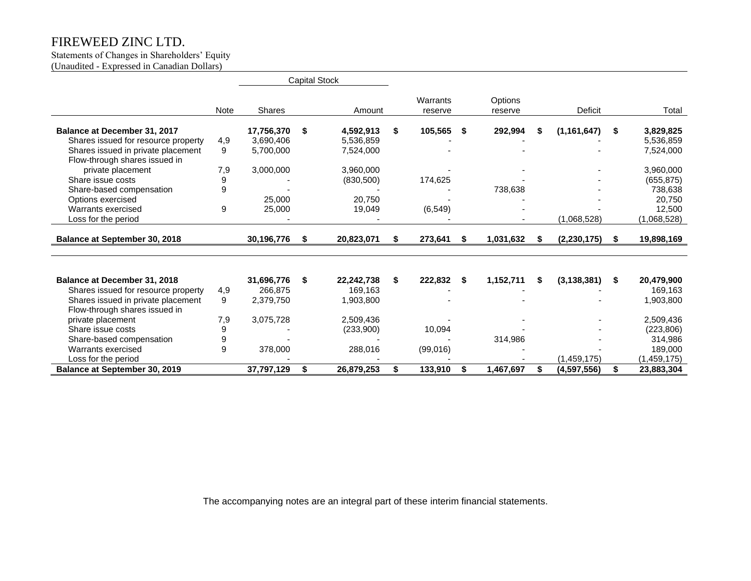#### Statements of Changes in Shareholders' Equity (Unaudited - Expressed in Canadian Dollars)

|                                     |             | <b>Capital Stock</b> |      |            |    |                     |    |                    |    |                |    |             |
|-------------------------------------|-------------|----------------------|------|------------|----|---------------------|----|--------------------|----|----------------|----|-------------|
|                                     | <b>Note</b> | <b>Shares</b>        |      | Amount     |    | Warrants<br>reserve |    | Options<br>reserve |    | <b>Deficit</b> |    | Total       |
| Balance at December 31, 2017        |             | 17,756,370           | -\$  | 4,592,913  | \$ | 105,565             | S  | 292,994            | S  | (1, 161, 647)  | S  | 3,829,825   |
| Shares issued for resource property | 4,9         | 3.690.406            |      | 5.536.859  |    |                     |    |                    |    |                |    | 5,536,859   |
| Shares issued in private placement  | 9           | 5,700,000            |      | 7,524,000  |    |                     |    |                    |    |                |    | 7,524,000   |
| Flow-through shares issued in       |             |                      |      |            |    |                     |    |                    |    |                |    |             |
| private placement                   | 7,9         | 3,000,000            |      | 3,960,000  |    |                     |    |                    |    |                |    | 3,960,000   |
| Share issue costs                   | 9           |                      |      | (830, 500) |    | 174,625             |    |                    |    |                |    | (655, 875)  |
| Share-based compensation            | 9           |                      |      |            |    |                     |    | 738,638            |    |                |    | 738,638     |
| Options exercised                   |             | 25,000               |      | 20,750     |    |                     |    |                    |    |                |    | 20,750      |
| Warrants exercised                  | 9           | 25,000               |      | 19,049     |    | (6, 549)            |    |                    |    |                |    | 12,500      |
| Loss for the period                 |             |                      |      |            |    |                     |    |                    |    | (1,068,528)    |    | (1,068,528) |
| Balance at September 30, 2018       |             | 30,196,776           | -S   | 20,823,071 | S  | 273,641             | S. | 1,031,632          | S  | (2, 230, 175)  | \$ | 19,898,169  |
|                                     |             |                      |      |            |    |                     |    |                    |    |                |    |             |
|                                     |             |                      |      |            |    |                     |    |                    |    |                |    |             |
| Balance at December 31, 2018        |             | 31,696,776           | - \$ | 22,242,738 | \$ | 222,832             | S  | 1,152,711          | \$ | (3, 138, 381)  | \$ | 20,479,900  |
| Shares issued for resource property | 4,9         | 266,875              |      | 169,163    |    |                     |    |                    |    |                |    | 169,163     |
| Shares issued in private placement  | 9           | 2,379,750            |      | 1,903,800  |    |                     |    |                    |    |                |    | 1,903,800   |
| Flow-through shares issued in       |             |                      |      |            |    |                     |    |                    |    |                |    |             |
| private placement                   | 7,9         | 3,075,728            |      | 2,509,436  |    |                     |    |                    |    |                |    | 2,509,436   |
| Share issue costs                   | 9           |                      |      | (233,900)  |    | 10,094              |    |                    |    |                |    | (223, 806)  |
| Share-based compensation            | 9           |                      |      |            |    |                     |    | 314,986            |    |                |    | 314,986     |
| Warrants exercised                  | 9           | 378,000              |      | 288,016    |    | (99,016)            |    |                    |    |                |    | 189,000     |
| Loss for the period                 |             |                      |      |            |    |                     |    |                    |    | (1,459,175)    |    | (1,459,175) |
| Balance at September 30, 2019       |             | 37,797,129           | \$   | 26,879,253 | \$ | 133,910             | S. | 1,467,697          | \$ | (4,597,556)    | \$ | 23,883,304  |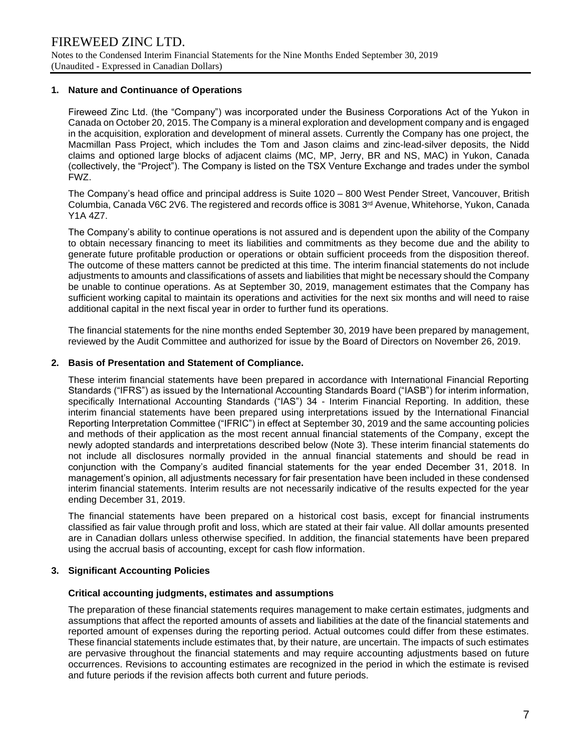## **1. Nature and Continuance of Operations**

Fireweed Zinc Ltd. (the "Company") was incorporated under the Business Corporations Act of the Yukon in Canada on October 20, 2015. The Company is a mineral exploration and development company and is engaged in the acquisition, exploration and development of mineral assets. Currently the Company has one project, the Macmillan Pass Project, which includes the Tom and Jason claims and zinc-lead-silver deposits, the Nidd claims and optioned large blocks of adjacent claims (MC, MP, Jerry, BR and NS, MAC) in Yukon, Canada (collectively, the "Project"). The Company is listed on the TSX Venture Exchange and trades under the symbol FWZ.

The Company's head office and principal address is Suite 1020 – 800 West Pender Street, Vancouver, British Columbia, Canada V6C 2V6. The registered and records office is 3081 3rd Avenue, Whitehorse, Yukon, Canada Y1A 4Z7.

The Company's ability to continue operations is not assured and is dependent upon the ability of the Company to obtain necessary financing to meet its liabilities and commitments as they become due and the ability to generate future profitable production or operations or obtain sufficient proceeds from the disposition thereof. The outcome of these matters cannot be predicted at this time. The interim financial statements do not include adjustments to amounts and classifications of assets and liabilities that might be necessary should the Company be unable to continue operations. As at September 30, 2019, management estimates that the Company has sufficient working capital to maintain its operations and activities for the next six months and will need to raise additional capital in the next fiscal year in order to further fund its operations.

The financial statements for the nine months ended September 30, 2019 have been prepared by management, reviewed by the Audit Committee and authorized for issue by the Board of Directors on November 26, 2019.

## **2. Basis of Presentation and Statement of Compliance.**

These interim financial statements have been prepared in accordance with International Financial Reporting Standards ("IFRS") as issued by the International Accounting Standards Board ("IASB") for interim information, specifically International Accounting Standards ("IAS") 34 - Interim Financial Reporting. In addition, these interim financial statements have been prepared using interpretations issued by the International Financial Reporting Interpretation Committee ("IFRIC") in effect at September 30, 2019 and the same accounting policies and methods of their application as the most recent annual financial statements of the Company, except the newly adopted standards and interpretations described below (Note 3). These interim financial statements do not include all disclosures normally provided in the annual financial statements and should be read in conjunction with the Company's audited financial statements for the year ended December 31, 2018. In management's opinion, all adjustments necessary for fair presentation have been included in these condensed interim financial statements. Interim results are not necessarily indicative of the results expected for the year ending December 31, 2019.

The financial statements have been prepared on a historical cost basis, except for financial instruments classified as fair value through profit and loss, which are stated at their fair value. All dollar amounts presented are in Canadian dollars unless otherwise specified. In addition, the financial statements have been prepared using the accrual basis of accounting, except for cash flow information.

#### **3. Significant Accounting Policies**

#### **Critical accounting judgments, estimates and assumptions**

The preparation of these financial statements requires management to make certain estimates, judgments and assumptions that affect the reported amounts of assets and liabilities at the date of the financial statements and reported amount of expenses during the reporting period. Actual outcomes could differ from these estimates. These financial statements include estimates that, by their nature, are uncertain. The impacts of such estimates are pervasive throughout the financial statements and may require accounting adjustments based on future occurrences. Revisions to accounting estimates are recognized in the period in which the estimate is revised and future periods if the revision affects both current and future periods.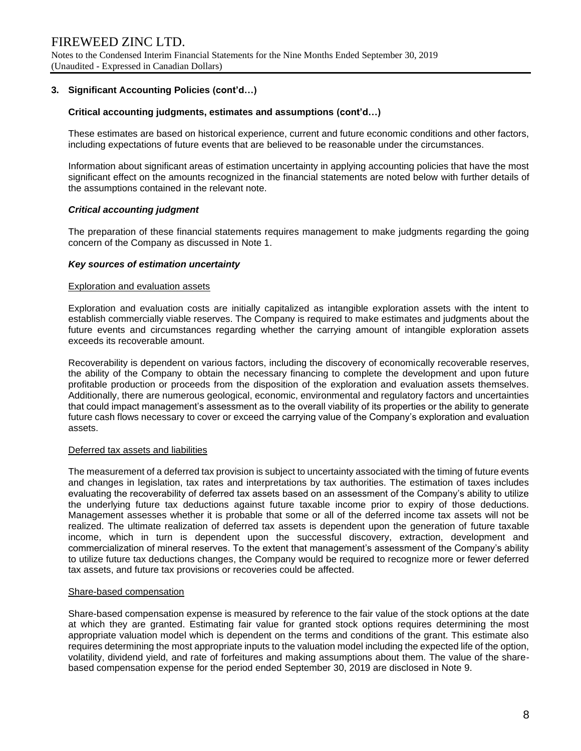## **3. Significant Accounting Policies (cont'd…)**

#### **Critical accounting judgments, estimates and assumptions (cont'd…)**

These estimates are based on historical experience, current and future economic conditions and other factors, including expectations of future events that are believed to be reasonable under the circumstances.

Information about significant areas of estimation uncertainty in applying accounting policies that have the most significant effect on the amounts recognized in the financial statements are noted below with further details of the assumptions contained in the relevant note.

#### *Critical accounting judgment*

The preparation of these financial statements requires management to make judgments regarding the going concern of the Company as discussed in Note 1.

#### *Key sources of estimation uncertainty*

#### Exploration and evaluation assets

Exploration and evaluation costs are initially capitalized as intangible exploration assets with the intent to establish commercially viable reserves. The Company is required to make estimates and judgments about the future events and circumstances regarding whether the carrying amount of intangible exploration assets exceeds its recoverable amount.

Recoverability is dependent on various factors, including the discovery of economically recoverable reserves, the ability of the Company to obtain the necessary financing to complete the development and upon future profitable production or proceeds from the disposition of the exploration and evaluation assets themselves. Additionally, there are numerous geological, economic, environmental and regulatory factors and uncertainties that could impact management's assessment as to the overall viability of its properties or the ability to generate future cash flows necessary to cover or exceed the carrying value of the Company's exploration and evaluation assets.

#### Deferred tax assets and liabilities

The measurement of a deferred tax provision is subject to uncertainty associated with the timing of future events and changes in legislation, tax rates and interpretations by tax authorities. The estimation of taxes includes evaluating the recoverability of deferred tax assets based on an assessment of the Company's ability to utilize the underlying future tax deductions against future taxable income prior to expiry of those deductions. Management assesses whether it is probable that some or all of the deferred income tax assets will not be realized. The ultimate realization of deferred tax assets is dependent upon the generation of future taxable income, which in turn is dependent upon the successful discovery, extraction, development and commercialization of mineral reserves. To the extent that management's assessment of the Company's ability to utilize future tax deductions changes, the Company would be required to recognize more or fewer deferred tax assets, and future tax provisions or recoveries could be affected.

#### Share-based compensation

Share-based compensation expense is measured by reference to the fair value of the stock options at the date at which they are granted. Estimating fair value for granted stock options requires determining the most appropriate valuation model which is dependent on the terms and conditions of the grant. This estimate also requires determining the most appropriate inputs to the valuation model including the expected life of the option, volatility, dividend yield, and rate of forfeitures and making assumptions about them. The value of the sharebased compensation expense for the period ended September 30, 2019 are disclosed in Note 9.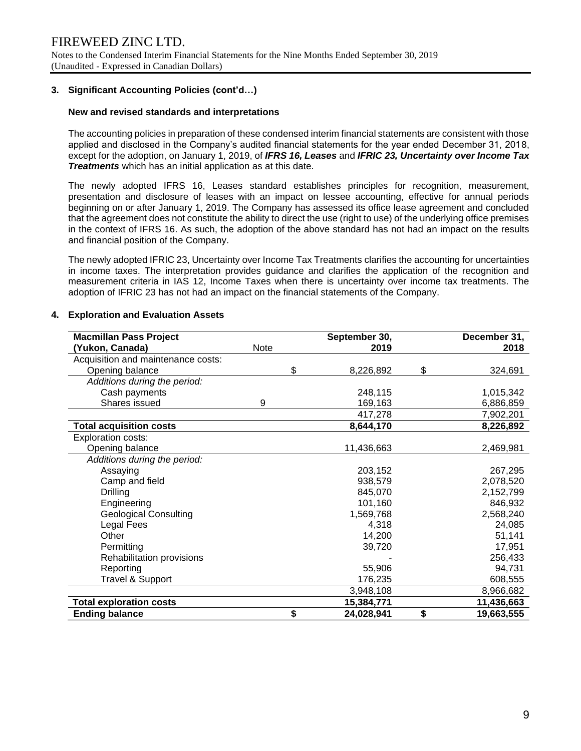## **3. Significant Accounting Policies (cont'd…)**

### **New and revised standards and interpretations**

The accounting policies in preparation of these condensed interim financial statements are consistent with those applied and disclosed in the Company's audited financial statements for the year ended December 31, 2018, except for the adoption, on January 1, 2019, of *IFRS 16, Leases* and *IFRIC 23, Uncertainty over Income Tax Treatments* which has an initial application as at this date.

The newly adopted IFRS 16, Leases standard establishes principles for recognition, measurement, presentation and disclosure of leases with an impact on lessee accounting, effective for annual periods beginning on or after January 1, 2019. The Company has assessed its office lease agreement and concluded that the agreement does not constitute the ability to direct the use (right to use) of the underlying office premises in the context of IFRS 16. As such, the adoption of the above standard has not had an impact on the results and financial position of the Company.

The newly adopted IFRIC 23, Uncertainty over Income Tax Treatments clarifies the accounting for uncertainties in income taxes. The interpretation provides guidance and clarifies the application of the recognition and measurement criteria in IAS 12, Income Taxes when there is uncertainty over income tax treatments. The adoption of IFRIC 23 has not had an impact on the financial statements of the Company.

| <b>Macmillan Pass Project</b>      |      | September 30, | December 31,     |
|------------------------------------|------|---------------|------------------|
| (Yukon, Canada)                    | Note | 2019          | 2018             |
| Acquisition and maintenance costs: |      |               |                  |
| Opening balance                    | \$   | 8,226,892     | \$<br>324,691    |
| Additions during the period:       |      |               |                  |
| Cash payments                      |      | 248,115       | 1,015,342        |
| Shares issued                      | 9    | 169,163       | 6,886,859        |
|                                    |      | 417,278       | 7,902,201        |
| <b>Total acquisition costs</b>     |      | 8,644,170     | 8,226,892        |
| <b>Exploration costs:</b>          |      |               |                  |
| Opening balance                    |      | 11,436,663    | 2,469,981        |
| Additions during the period:       |      |               |                  |
| Assaying                           |      | 203,152       | 267,295          |
| Camp and field                     |      | 938,579       | 2,078,520        |
| <b>Drilling</b>                    |      | 845,070       | 2,152,799        |
| Engineering                        |      | 101,160       | 846,932          |
| <b>Geological Consulting</b>       |      | 1,569,768     | 2,568,240        |
| Legal Fees                         |      | 4,318         | 24,085           |
| Other                              |      | 14,200        | 51,141           |
| Permitting                         |      | 39,720        | 17,951           |
| Rehabilitation provisions          |      |               | 256,433          |
| Reporting                          |      | 55,906        | 94,731           |
| Travel & Support                   |      | 176,235       | 608,555          |
|                                    |      | 3,948,108     | 8,966,682        |
| <b>Total exploration costs</b>     |      | 15,384,771    | 11,436,663       |
| <b>Ending balance</b>              | \$   | 24,028,941    | \$<br>19,663,555 |

#### **4. Exploration and Evaluation Assets**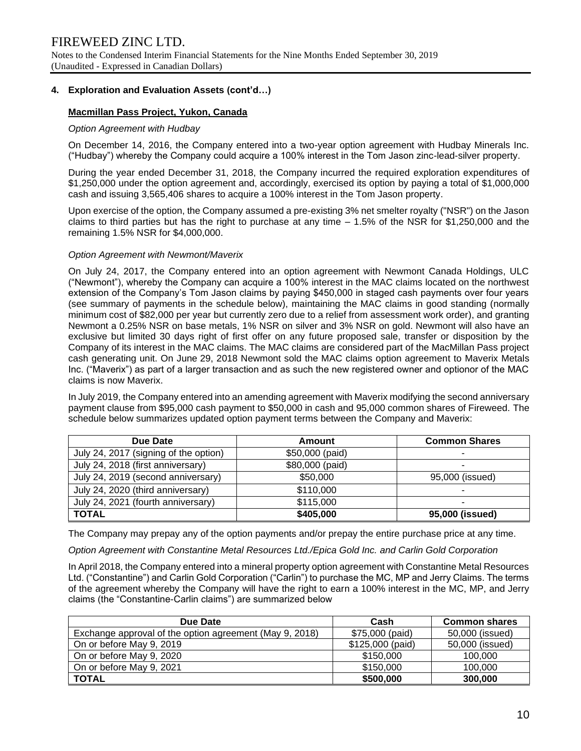## **4. Exploration and Evaluation Assets (cont'd…)**

## **Macmillan Pass Project, Yukon, Canada**

#### *Option Agreement with Hudbay*

On December 14, 2016, the Company entered into a two-year option agreement with Hudbay Minerals Inc. ("Hudbay") whereby the Company could acquire a 100% interest in the Tom Jason zinc-lead-silver property.

During the year ended December 31, 2018, the Company incurred the required exploration expenditures of \$1,250,000 under the option agreement and, accordingly, exercised its option by paying a total of \$1,000,000 cash and issuing 3,565,406 shares to acquire a 100% interest in the Tom Jason property.

Upon exercise of the option, the Company assumed a pre-existing 3% net smelter royalty ("NSR") on the Jason claims to third parties but has the right to purchase at any time  $-1.5\%$  of the NSR for \$1,250,000 and the remaining 1.5% NSR for \$4,000,000.

#### *Option Agreement with Newmont/Maverix*

On July 24, 2017, the Company entered into an option agreement with Newmont Canada Holdings, ULC ("Newmont"), whereby the Company can acquire a 100% interest in the MAC claims located on the northwest extension of the Company's Tom Jason claims by paying \$450,000 in staged cash payments over four years (see summary of payments in the schedule below), maintaining the MAC claims in good standing (normally minimum cost of \$82,000 per year but currently zero due to a relief from assessment work order), and granting Newmont a 0.25% NSR on base metals, 1% NSR on silver and 3% NSR on gold. Newmont will also have an exclusive but limited 30 days right of first offer on any future proposed sale, transfer or disposition by the Company of its interest in the MAC claims. The MAC claims are considered part of the MacMillan Pass project cash generating unit. On June 29, 2018 Newmont sold the MAC claims option agreement to Maverix Metals Inc. ("Maverix") as part of a larger transaction and as such the new registered owner and optionor of the MAC claims is now Maverix.

In July 2019, the Company entered into an amending agreement with Maverix modifying the second anniversary payment clause from \$95,000 cash payment to \$50,000 in cash and 95,000 common shares of Fireweed. The schedule below summarizes updated option payment terms between the Company and Maverix:

| Due Date                              | Amount          | <b>Common Shares</b> |
|---------------------------------------|-----------------|----------------------|
| July 24, 2017 (signing of the option) | \$50,000 (paid) |                      |
| July 24, 2018 (first anniversary)     | \$80,000 (paid) |                      |
| July 24, 2019 (second anniversary)    | \$50,000        | 95,000 (issued)      |
| July 24, 2020 (third anniversary)     | \$110,000       |                      |
| July 24, 2021 (fourth anniversary)    | \$115,000       |                      |
| <b>TOTAL</b>                          | \$405,000       | 95,000 (issued)      |

The Company may prepay any of the option payments and/or prepay the entire purchase price at any time.

*Option Agreement with Constantine Metal Resources Ltd./Epica Gold Inc. and Carlin Gold Corporation* 

In April 2018, the Company entered into a mineral property option agreement with Constantine Metal Resources Ltd. ("Constantine") and Carlin Gold Corporation ("Carlin") to purchase the MC, MP and Jerry Claims. The terms of the agreement whereby the Company will have the right to earn a 100% interest in the MC, MP, and Jerry claims (the "Constantine-Carlin claims") are summarized below

| Due Date                                                | Cash             | <b>Common shares</b> |  |  |
|---------------------------------------------------------|------------------|----------------------|--|--|
| Exchange approval of the option agreement (May 9, 2018) | \$75,000 (paid)  | 50,000 (issued)      |  |  |
| On or before May 9, 2019                                | \$125,000 (paid) | 50,000 (issued)      |  |  |
| On or before May 9, 2020                                | \$150,000        | 100,000              |  |  |
| On or before May 9, 2021                                | \$150,000        | 100,000              |  |  |
| <b>TOTAL</b>                                            | \$500,000        | 300,000              |  |  |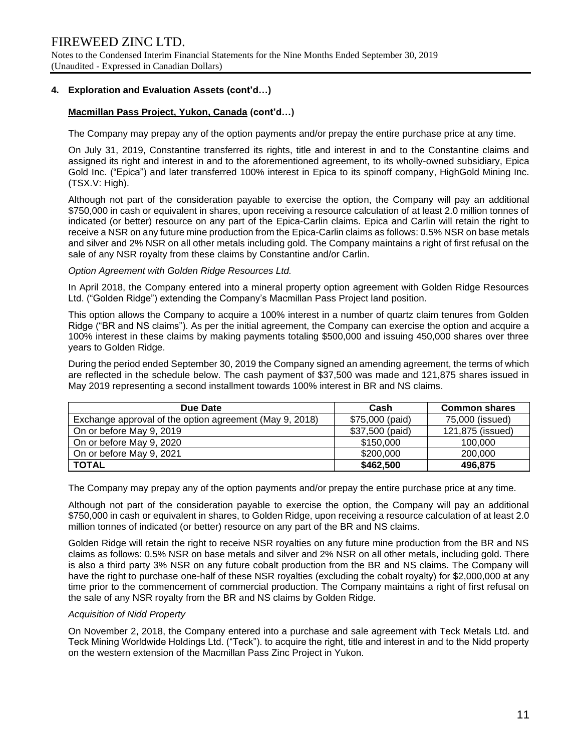## **4. Exploration and Evaluation Assets (cont'd…)**

## **Macmillan Pass Project, Yukon, Canada (cont'd…)**

The Company may prepay any of the option payments and/or prepay the entire purchase price at any time.

On July 31, 2019, Constantine transferred its rights, title and interest in and to the Constantine claims and assigned its right and interest in and to the aforementioned agreement, to its wholly-owned subsidiary, Epica Gold Inc. ("Epica") and later transferred 100% interest in Epica to its spinoff company, HighGold Mining Inc. (TSX.V: High).

Although not part of the consideration payable to exercise the option, the Company will pay an additional \$750,000 in cash or equivalent in shares, upon receiving a resource calculation of at least 2.0 million tonnes of indicated (or better) resource on any part of the Epica-Carlin claims. Epica and Carlin will retain the right to receive a NSR on any future mine production from the Epica-Carlin claims as follows: 0.5% NSR on base metals and silver and 2% NSR on all other metals including gold. The Company maintains a right of first refusal on the sale of any NSR royalty from these claims by Constantine and/or Carlin.

*Option Agreement with Golden Ridge Resources Ltd.* 

In April 2018, the Company entered into a mineral property option agreement with Golden Ridge Resources Ltd. ("Golden Ridge") extending the Company's Macmillan Pass Project land position.

This option allows the Company to acquire a 100% interest in a number of quartz claim tenures from Golden Ridge ("BR and NS claims"). As per the initial agreement, the Company can exercise the option and acquire a 100% interest in these claims by making payments totaling \$500,000 and issuing 450,000 shares over three years to Golden Ridge.

During the period ended September 30, 2019 the Company signed an amending agreement, the terms of which are reflected in the schedule below. The cash payment of \$37,500 was made and 121,875 shares issued in May 2019 representing a second installment towards 100% interest in BR and NS claims.

| Due Date                                                | Cash            | <b>Common shares</b> |
|---------------------------------------------------------|-----------------|----------------------|
| Exchange approval of the option agreement (May 9, 2018) | \$75,000 (paid) | 75,000 (issued)      |
| On or before May 9, 2019                                | \$37,500 (paid) | 121,875 (issued)     |
| On or before May 9, 2020                                | \$150,000       | 100,000              |
| On or before May 9, 2021                                | \$200,000       | 200,000              |
| <b>TOTAL</b>                                            | \$462,500       | 496,875              |

The Company may prepay any of the option payments and/or prepay the entire purchase price at any time.

Although not part of the consideration payable to exercise the option, the Company will pay an additional \$750,000 in cash or equivalent in shares, to Golden Ridge, upon receiving a resource calculation of at least 2.0 million tonnes of indicated (or better) resource on any part of the BR and NS claims.

Golden Ridge will retain the right to receive NSR royalties on any future mine production from the BR and NS claims as follows: 0.5% NSR on base metals and silver and 2% NSR on all other metals, including gold. There is also a third party 3% NSR on any future cobalt production from the BR and NS claims. The Company will have the right to purchase one-half of these NSR royalties (excluding the cobalt royalty) for \$2,000,000 at any time prior to the commencement of commercial production. The Company maintains a right of first refusal on the sale of any NSR royalty from the BR and NS claims by Golden Ridge.

#### *Acquisition of Nidd Property*

On November 2, 2018, the Company entered into a purchase and sale agreement with Teck Metals Ltd. and Teck Mining Worldwide Holdings Ltd. ("Teck"). to acquire the right, title and interest in and to the Nidd property on the western extension of the Macmillan Pass Zinc Project in Yukon.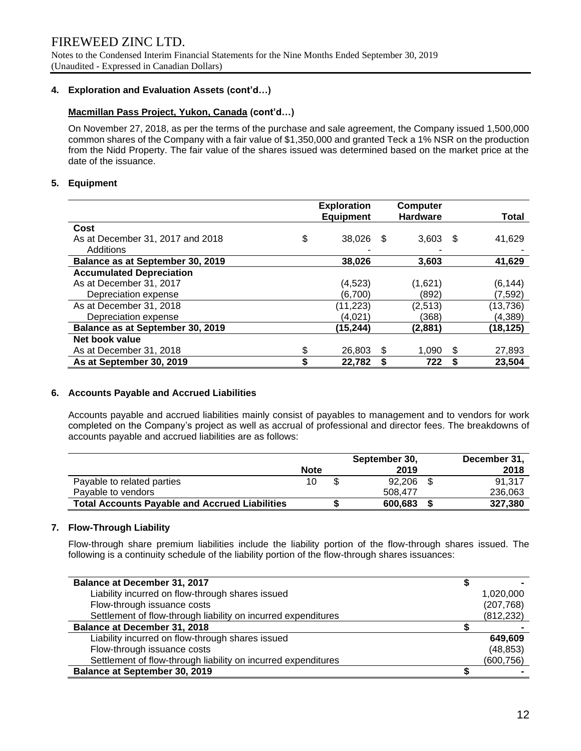Notes to the Condensed Interim Financial Statements for the Nine Months Ended September 30, 2019 (Unaudited - Expressed in Canadian Dollars)

## **4. Exploration and Evaluation Assets (cont'd…)**

## **Macmillan Pass Project, Yukon, Canada (cont'd…)**

On November 27, 2018, as per the terms of the purchase and sale agreement, the Company issued 1,500,000 common shares of the Company with a fair value of \$1,350,000 and granted Teck a 1% NSR on the production from the Nidd Property. The fair value of the shares issued was determined based on the market price at the date of the issuance.

## **5. Equipment**

|                                  | <b>Exploration</b> |      | <b>Computer</b> |    |           |
|----------------------------------|--------------------|------|-----------------|----|-----------|
|                                  | <b>Equipment</b>   |      | <b>Hardware</b> |    | Total     |
| Cost                             |                    |      |                 |    |           |
| As at December 31, 2017 and 2018 | \$<br>38,026       | - \$ | 3,603           | -S | 41,629    |
| Additions                        |                    |      |                 |    |           |
| Balance as at September 30, 2019 | 38,026             |      | 3,603           |    | 41,629    |
| <b>Accumulated Depreciation</b>  |                    |      |                 |    |           |
| As at December 31, 2017          | (4, 523)           |      | (1,621)         |    | (6, 144)  |
| Depreciation expense             | (6,700)            |      | (892)           |    | (7,592)   |
| As at December 31, 2018          | (11, 223)          |      | (2,513)         |    | (13, 736) |
| Depreciation expense             | (4,021)            |      | (368)           |    | (4, 389)  |
| Balance as at September 30, 2019 | (15, 244)          |      | (2,881)         |    | (18, 125) |
| Net book value                   |                    |      |                 |    |           |
| As at December 31, 2018          | \$<br>26,803       | S    | 1.090           | S  | 27,893    |
| As at September 30, 2019         | \$<br>22,782       |      | 722             |    | 23,504    |

#### **6. Accounts Payable and Accrued Liabilities**

Accounts payable and accrued liabilities mainly consist of payables to management and to vendors for work completed on the Company's project as well as accrual of professional and director fees. The breakdowns of accounts payable and accrued liabilities are as follows:

|                                                       |             | September 30, | December 31, |
|-------------------------------------------------------|-------------|---------------|--------------|
|                                                       | <b>Note</b> | 2019          | 2018         |
| Payable to related parties                            | 10          | 92.206        | 91.317       |
| Pavable to vendors                                    |             | 508.477       | 236,063      |
| <b>Total Accounts Payable and Accrued Liabilities</b> |             | 600,683       | 327,380      |

## **7. Flow-Through Liability**

Flow-through share premium liabilities include the liability portion of the flow-through shares issued. The following is a continuity schedule of the liability portion of the flow-through shares issuances:

| <b>Balance at December 31, 2017</b>                           |            |
|---------------------------------------------------------------|------------|
| Liability incurred on flow-through shares issued              | 1,020,000  |
| Flow-through issuance costs                                   | (207, 768) |
| Settlement of flow-through liability on incurred expenditures | (812, 232) |
| <b>Balance at December 31, 2018</b>                           |            |
| Liability incurred on flow-through shares issued              | 649,609    |
| Flow-through issuance costs                                   | (48, 853)  |
| Settlement of flow-through liability on incurred expenditures | (600, 756) |
| Balance at September 30, 2019                                 |            |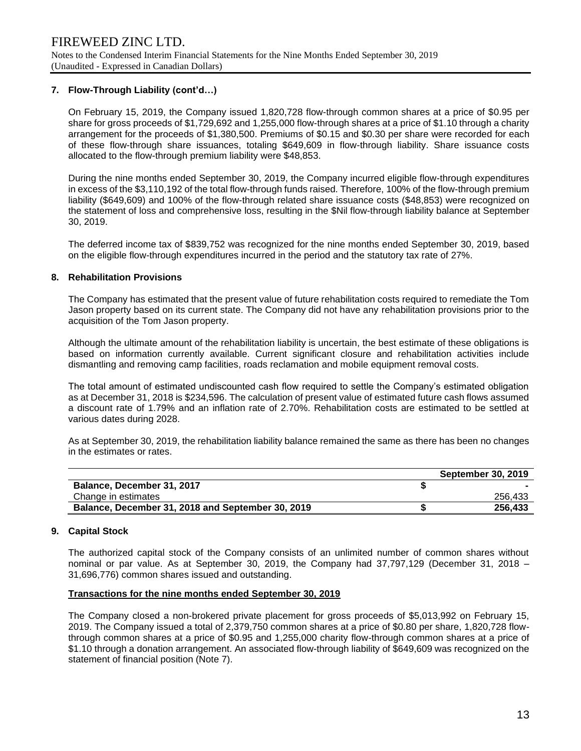## **7. Flow-Through Liability (cont'd…)**

On February 15, 2019, the Company issued 1,820,728 flow-through common shares at a price of \$0.95 per share for gross proceeds of \$1,729,692 and 1,255,000 flow-through shares at a price of \$1.10 through a charity arrangement for the proceeds of \$1,380,500. Premiums of \$0.15 and \$0.30 per share were recorded for each of these flow-through share issuances, totaling \$649,609 in flow-through liability. Share issuance costs allocated to the flow-through premium liability were \$48,853.

During the nine months ended September 30, 2019, the Company incurred eligible flow-through expenditures in excess of the \$3,110,192 of the total flow-through funds raised. Therefore, 100% of the flow-through premium liability (\$649,609) and 100% of the flow-through related share issuance costs (\$48,853) were recognized on the statement of loss and comprehensive loss, resulting in the \$Nil flow-through liability balance at September 30, 2019.

The deferred income tax of \$839,752 was recognized for the nine months ended September 30, 2019, based on the eligible flow-through expenditures incurred in the period and the statutory tax rate of 27%.

#### **8. Rehabilitation Provisions**

The Company has estimated that the present value of future rehabilitation costs required to remediate the Tom Jason property based on its current state. The Company did not have any rehabilitation provisions prior to the acquisition of the Tom Jason property.

Although the ultimate amount of the rehabilitation liability is uncertain, the best estimate of these obligations is based on information currently available. Current significant closure and rehabilitation activities include dismantling and removing camp facilities, roads reclamation and mobile equipment removal costs.

The total amount of estimated undiscounted cash flow required to settle the Company's estimated obligation as at December 31, 2018 is \$234,596. The calculation of present value of estimated future cash flows assumed a discount rate of 1.79% and an inflation rate of 2.70%. Rehabilitation costs are estimated to be settled at various dates during 2028.

As at September 30, 2019, the rehabilitation liability balance remained the same as there has been no changes in the estimates or rates.

|                                                   | <b>September 30, 2019</b> |
|---------------------------------------------------|---------------------------|
| Balance, December 31, 2017                        |                           |
| Change in estimates                               | 256.433                   |
| Balance, December 31, 2018 and September 30, 2019 | 256.433                   |

#### **9. Capital Stock**

The authorized capital stock of the Company consists of an unlimited number of common shares without nominal or par value. As at September 30, 2019, the Company had 37,797,129 (December 31, 2018 – 31,696,776) common shares issued and outstanding.

#### **Transactions for the nine months ended September 30, 2019**

The Company closed a non-brokered private placement for gross proceeds of \$5,013,992 on February 15, 2019. The Company issued a total of 2,379,750 common shares at a price of \$0.80 per share, 1,820,728 flowthrough common shares at a price of \$0.95 and 1,255,000 charity flow-through common shares at a price of \$1.10 through a donation arrangement. An associated flow-through liability of \$649,609 was recognized on the statement of financial position (Note 7).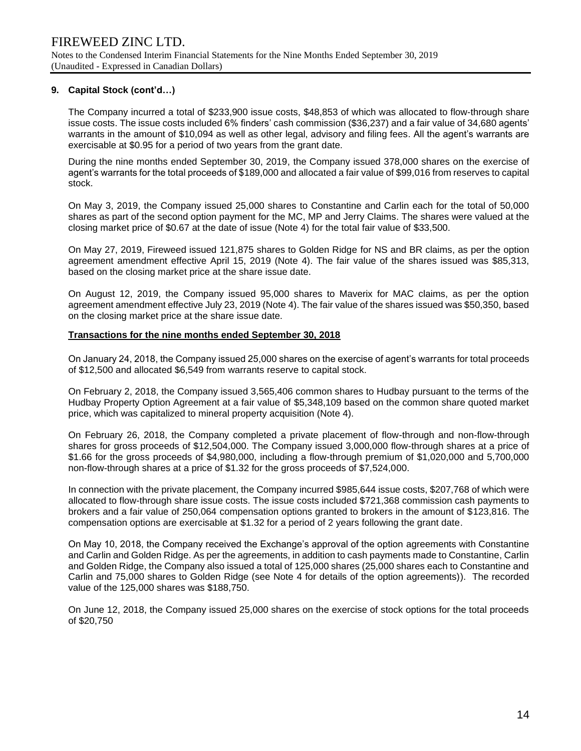## **9. Capital Stock (cont'd…)**

The Company incurred a total of \$233,900 issue costs, \$48,853 of which was allocated to flow-through share issue costs. The issue costs included 6% finders' cash commission (\$36,237) and a fair value of 34,680 agents' warrants in the amount of \$10,094 as well as other legal, advisory and filing fees. All the agent's warrants are exercisable at \$0.95 for a period of two years from the grant date.

During the nine months ended September 30, 2019, the Company issued 378,000 shares on the exercise of agent's warrants for the total proceeds of \$189,000 and allocated a fair value of \$99,016 from reserves to capital stock.

On May 3, 2019, the Company issued 25,000 shares to Constantine and Carlin each for the total of 50,000 shares as part of the second option payment for the MC, MP and Jerry Claims. The shares were valued at the closing market price of \$0.67 at the date of issue (Note 4) for the total fair value of \$33,500.

On May 27, 2019, Fireweed issued 121,875 shares to Golden Ridge for NS and BR claims, as per the option agreement amendment effective April 15, 2019 (Note 4). The fair value of the shares issued was \$85,313, based on the closing market price at the share issue date.

On August 12, 2019, the Company issued 95,000 shares to Maverix for MAC claims, as per the option agreement amendment effective July 23, 2019 (Note 4). The fair value of the shares issued was \$50,350, based on the closing market price at the share issue date.

#### **Transactions for the nine months ended September 30, 2018**

On January 24, 2018, the Company issued 25,000 shares on the exercise of agent's warrants for total proceeds of \$12,500 and allocated \$6,549 from warrants reserve to capital stock.

On February 2, 2018, the Company issued 3,565,406 common shares to Hudbay pursuant to the terms of the Hudbay Property Option Agreement at a fair value of \$5,348,109 based on the common share quoted market price, which was capitalized to mineral property acquisition (Note 4).

On February 26, 2018, the Company completed a private placement of flow-through and non-flow-through shares for gross proceeds of \$12,504,000. The Company issued 3,000,000 flow-through shares at a price of \$1.66 for the gross proceeds of \$4,980,000, including a flow-through premium of \$1,020,000 and 5,700,000 non-flow-through shares at a price of \$1.32 for the gross proceeds of \$7,524,000.

In connection with the private placement, the Company incurred \$985,644 issue costs, \$207,768 of which were allocated to flow-through share issue costs. The issue costs included \$721,368 commission cash payments to brokers and a fair value of 250,064 compensation options granted to brokers in the amount of \$123,816. The compensation options are exercisable at \$1.32 for a period of 2 years following the grant date.

On May 10, 2018, the Company received the Exchange's approval of the option agreements with Constantine and Carlin and Golden Ridge. As per the agreements, in addition to cash payments made to Constantine, Carlin and Golden Ridge, the Company also issued a total of 125,000 shares (25,000 shares each to Constantine and Carlin and 75,000 shares to Golden Ridge (see Note 4 for details of the option agreements)). The recorded value of the 125,000 shares was \$188,750.

On June 12, 2018, the Company issued 25,000 shares on the exercise of stock options for the total proceeds of \$20,750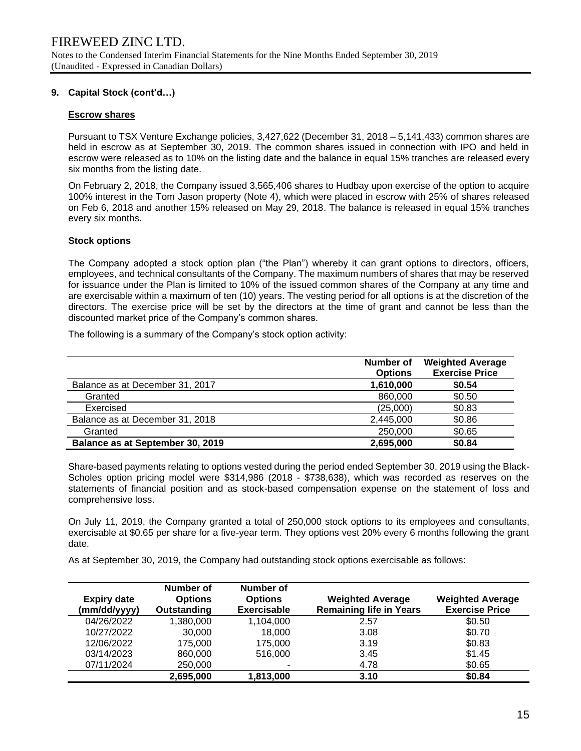## **9. Capital Stock (cont'd…)**

### **Escrow shares**

Pursuant to TSX Venture Exchange policies, 3,427,622 (December 31, 2018 – 5,141,433) common shares are held in escrow as at September 30, 2019. The common shares issued in connection with IPO and held in escrow were released as to 10% on the listing date and the balance in equal 15% tranches are released every six months from the listing date.

On February 2, 2018, the Company issued 3,565,406 shares to Hudbay upon exercise of the option to acquire 100% interest in the Tom Jason property (Note 4), which were placed in escrow with 25% of shares released on Feb 6, 2018 and another 15% released on May 29, 2018. The balance is released in equal 15% tranches every six months.

## **Stock options**

The Company adopted a stock option plan ("the Plan") whereby it can grant options to directors, officers, employees, and technical consultants of the Company. The maximum numbers of shares that may be reserved for issuance under the Plan is limited to 10% of the issued common shares of the Company at any time and are exercisable within a maximum of ten (10) years. The vesting period for all options is at the discretion of the directors. The exercise price will be set by the directors at the time of grant and cannot be less than the discounted market price of the Company's common shares.

The following is a summary of the Company's stock option activity:

|                                  | Number of<br><b>Options</b> | <b>Weighted Average</b><br><b>Exercise Price</b> |
|----------------------------------|-----------------------------|--------------------------------------------------|
| Balance as at December 31, 2017  | 1,610,000                   | \$0.54                                           |
| Granted                          | 860,000                     | \$0.50                                           |
| Exercised                        | (25,000)                    | \$0.83                                           |
| Balance as at December 31, 2018  | 2,445,000                   | \$0.86                                           |
| Granted                          | 250,000                     | \$0.65                                           |
| Balance as at September 30, 2019 | 2,695,000                   | \$0.84                                           |

Share-based payments relating to options vested during the period ended September 30, 2019 using the Black-Scholes option pricing model were \$314,986 (2018 - \$738,638), which was recorded as reserves on the statements of financial position and as stock-based compensation expense on the statement of loss and comprehensive loss.

On July 11, 2019, the Company granted a total of 250,000 stock options to its employees and consultants, exercisable at \$0.65 per share for a five-year term. They options vest 20% every 6 months following the grant date.

As at September 30, 2019, the Company had outstanding stock options exercisable as follows:

| <b>Expiry date</b><br>(mm/dd/yyyy) | Number of<br><b>Options</b><br>Outstanding | Number of<br><b>Options</b><br>Exercisable | <b>Weighted Average</b><br><b>Remaining life in Years</b> | <b>Weighted Average</b><br><b>Exercise Price</b> |
|------------------------------------|--------------------------------------------|--------------------------------------------|-----------------------------------------------------------|--------------------------------------------------|
| 04/26/2022                         | 1,380,000                                  | 1,104,000                                  | 2.57                                                      | \$0.50                                           |
| 10/27/2022                         | 30,000                                     | 18.000                                     | 3.08                                                      | \$0.70                                           |
| 12/06/2022                         | 175,000                                    | 175,000                                    | 3.19                                                      | \$0.83                                           |
| 03/14/2023                         | 860,000                                    | 516,000                                    | 3.45                                                      | \$1.45                                           |
| 07/11/2024                         | 250,000                                    |                                            | 4.78                                                      | \$0.65                                           |
|                                    | 2,695,000                                  | 1,813,000                                  | 3.10                                                      | \$0.84                                           |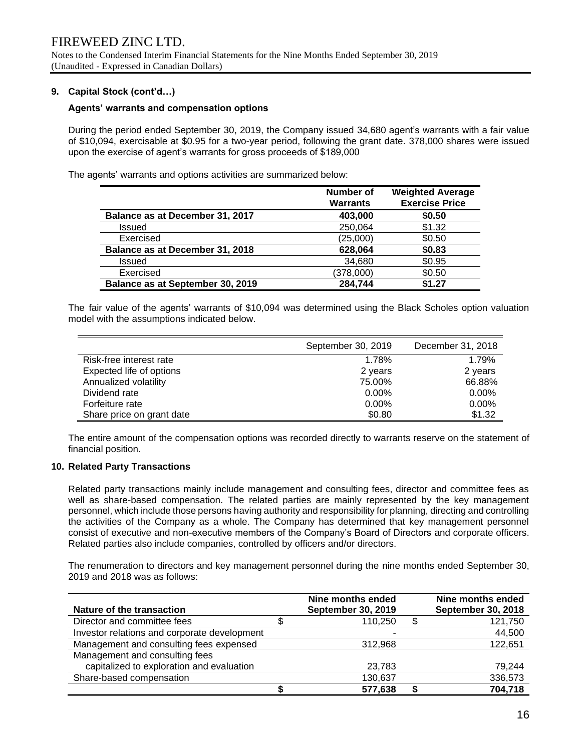## **9. Capital Stock (cont'd…)**

#### **Agents' warrants and compensation options**

During the period ended September 30, 2019, the Company issued 34,680 agent's warrants with a fair value of \$10,094, exercisable at \$0.95 for a two-year period, following the grant date. 378,000 shares were issued upon the exercise of agent's warrants for gross proceeds of \$189,000

The agents' warrants and options activities are summarized below:

|                                  | <b>Number of</b><br><b>Warrants</b> | <b>Weighted Average</b><br><b>Exercise Price</b> |
|----------------------------------|-------------------------------------|--------------------------------------------------|
| Balance as at December 31, 2017  | 403,000                             | \$0.50                                           |
| <b>Issued</b>                    | 250,064                             | \$1.32                                           |
| Exercised                        | (25,000)                            | \$0.50                                           |
| Balance as at December 31, 2018  | 628,064                             | \$0.83                                           |
| <b>Issued</b>                    | 34,680                              | \$0.95                                           |
| Exercised                        | (378,000)                           | \$0.50                                           |
| Balance as at September 30, 2019 | 284,744                             | \$1.27                                           |

The fair value of the agents' warrants of \$10,094 was determined using the Black Scholes option valuation model with the assumptions indicated below.

|                           | September 30, 2019 | December 31, 2018 |
|---------------------------|--------------------|-------------------|
| Risk-free interest rate   | 1.78%              | 1.79%             |
| Expected life of options  | 2 years            | 2 years           |
| Annualized volatility     | 75.00%             | 66.88%            |
| Dividend rate             | $0.00\%$           | $0.00\%$          |
| Forfeiture rate           | $0.00\%$           | $0.00\%$          |
| Share price on grant date | \$0.80             | \$1.32            |

The entire amount of the compensation options was recorded directly to warrants reserve on the statement of financial position.

### **10. Related Party Transactions**

Related party transactions mainly include management and consulting fees, director and committee fees as well as share-based compensation. The related parties are mainly represented by the key management personnel, which include those persons having authority and responsibility for planning, directing and controlling the activities of the Company as a whole. The Company has determined that key management personnel consist of executive and non-executive members of the Company's Board of Directors and corporate officers. Related parties also include companies, controlled by officers and/or directors.

The renumeration to directors and key management personnel during the nine months ended September 30, 2019 and 2018 was as follows:

| Nature of the transaction                    |   | Nine months ended<br><b>September 30, 2019</b> | Nine months ended<br><b>September 30, 2018</b> |
|----------------------------------------------|---|------------------------------------------------|------------------------------------------------|
| Director and committee fees                  | S | 110.250                                        | \$<br>121,750                                  |
| Investor relations and corporate development |   |                                                | 44,500                                         |
| Management and consulting fees expensed      |   | 312.968                                        | 122,651                                        |
| Management and consulting fees               |   |                                                |                                                |
| capitalized to exploration and evaluation    |   | 23,783                                         | 79.244                                         |
| Share-based compensation                     |   | 130,637                                        | 336,573                                        |
|                                              |   | 577.638                                        | 704,718                                        |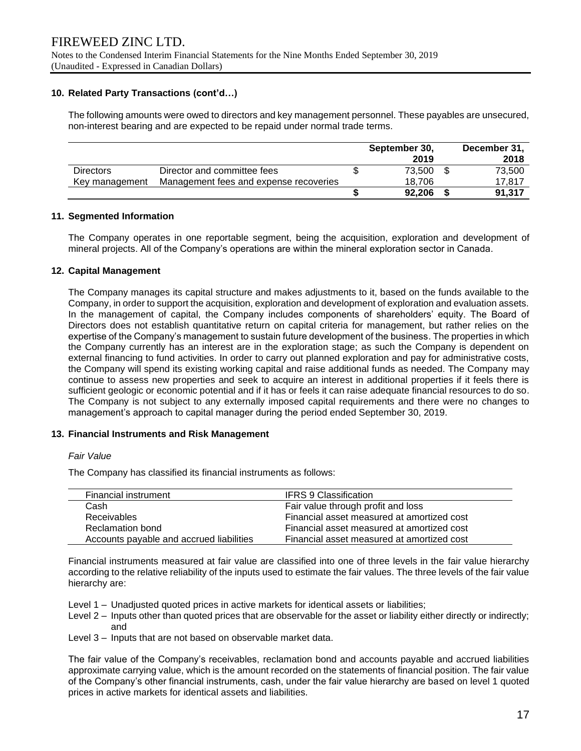## **10. Related Party Transactions (cont'd…)**

The following amounts were owed to directors and key management personnel. These payables are unsecured, non-interest bearing and are expected to be repaid under normal trade terms.

|                  |                                        | September 30,<br>2019 | December 31,<br>2018 |
|------------------|----------------------------------------|-----------------------|----------------------|
| <b>Directors</b> | Director and committee fees            | 73.500                | 73,500               |
| Key management   | Management fees and expense recoveries | 18.706                | 17.817               |
|                  |                                        | 92.206                | 91,317               |

## **11. Segmented Information**

The Company operates in one reportable segment, being the acquisition, exploration and development of mineral projects. All of the Company's operations are within the mineral exploration sector in Canada.

## **12. Capital Management**

The Company manages its capital structure and makes adjustments to it, based on the funds available to the Company, in order to support the acquisition, exploration and development of exploration and evaluation assets. In the management of capital, the Company includes components of shareholders' equity. The Board of Directors does not establish quantitative return on capital criteria for management, but rather relies on the expertise of the Company's management to sustain future development of the business. The properties in which the Company currently has an interest are in the exploration stage; as such the Company is dependent on external financing to fund activities. In order to carry out planned exploration and pay for administrative costs, the Company will spend its existing working capital and raise additional funds as needed. The Company may continue to assess new properties and seek to acquire an interest in additional properties if it feels there is sufficient geologic or economic potential and if it has or feels it can raise adequate financial resources to do so. The Company is not subject to any externally imposed capital requirements and there were no changes to management's approach to capital manager during the period ended September 30, 2019.

#### **13. Financial Instruments and Risk Management**

#### *Fair Value*

The Company has classified its financial instruments as follows:

| Financial instrument                     | <b>IFRS 9 Classification</b>               |
|------------------------------------------|--------------------------------------------|
| Cash                                     | Fair value through profit and loss         |
| Receivables                              | Financial asset measured at amortized cost |
| Reclamation bond                         | Financial asset measured at amortized cost |
| Accounts payable and accrued liabilities | Financial asset measured at amortized cost |
|                                          |                                            |

Financial instruments measured at fair value are classified into one of three levels in the fair value hierarchy according to the relative reliability of the inputs used to estimate the fair values. The three levels of the fair value hierarchy are:

- Level 1 Unadjusted quoted prices in active markets for identical assets or liabilities;
- Level 2 Inputs other than quoted prices that are observable for the asset or liability either directly or indirectly; and
- Level 3 Inputs that are not based on observable market data.

The fair value of the Company's receivables, reclamation bond and accounts payable and accrued liabilities approximate carrying value, which is the amount recorded on the statements of financial position. The fair value of the Company's other financial instruments, cash, under the fair value hierarchy are based on level 1 quoted prices in active markets for identical assets and liabilities.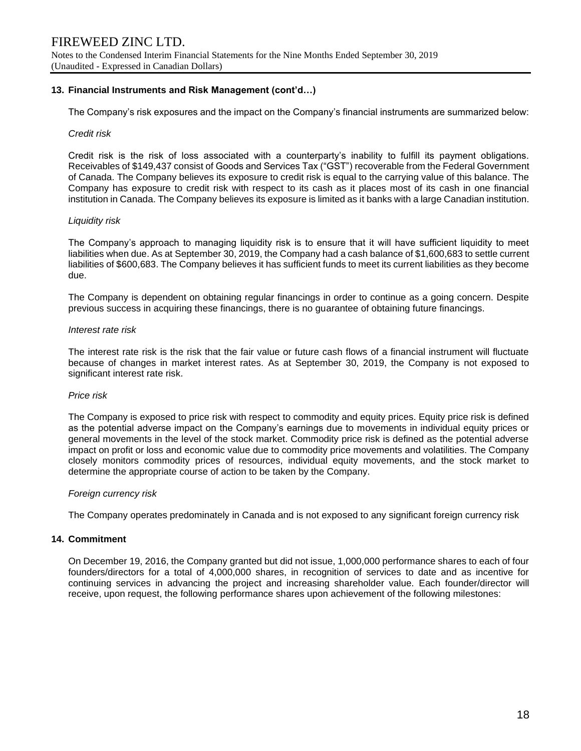## **13. Financial Instruments and Risk Management (cont'd…)**

The Company's risk exposures and the impact on the Company's financial instruments are summarized below:

#### *Credit risk*

Credit risk is the risk of loss associated with a counterparty's inability to fulfill its payment obligations. Receivables of \$149,437 consist of Goods and Services Tax ("GST") recoverable from the Federal Government of Canada. The Company believes its exposure to credit risk is equal to the carrying value of this balance. The Company has exposure to credit risk with respect to its cash as it places most of its cash in one financial institution in Canada. The Company believes its exposure is limited as it banks with a large Canadian institution.

#### *Liquidity risk*

The Company's approach to managing liquidity risk is to ensure that it will have sufficient liquidity to meet liabilities when due. As at September 30, 2019, the Company had a cash balance of \$1,600,683 to settle current liabilities of \$600,683. The Company believes it has sufficient funds to meet its current liabilities as they become due.

The Company is dependent on obtaining regular financings in order to continue as a going concern. Despite previous success in acquiring these financings, there is no guarantee of obtaining future financings.

#### *Interest rate risk*

The interest rate risk is the risk that the fair value or future cash flows of a financial instrument will fluctuate because of changes in market interest rates. As at September 30, 2019, the Company is not exposed to significant interest rate risk.

#### *Price risk*

The Company is exposed to price risk with respect to commodity and equity prices. Equity price risk is defined as the potential adverse impact on the Company's earnings due to movements in individual equity prices or general movements in the level of the stock market. Commodity price risk is defined as the potential adverse impact on profit or loss and economic value due to commodity price movements and volatilities. The Company closely monitors commodity prices of resources, individual equity movements, and the stock market to determine the appropriate course of action to be taken by the Company.

#### *Foreign currency risk*

The Company operates predominately in Canada and is not exposed to any significant foreign currency risk

#### **14. Commitment**

On December 19, 2016, the Company granted but did not issue, 1,000,000 performance shares to each of four founders/directors for a total of 4,000,000 shares, in recognition of services to date and as incentive for continuing services in advancing the project and increasing shareholder value. Each founder/director will receive, upon request, the following performance shares upon achievement of the following milestones: